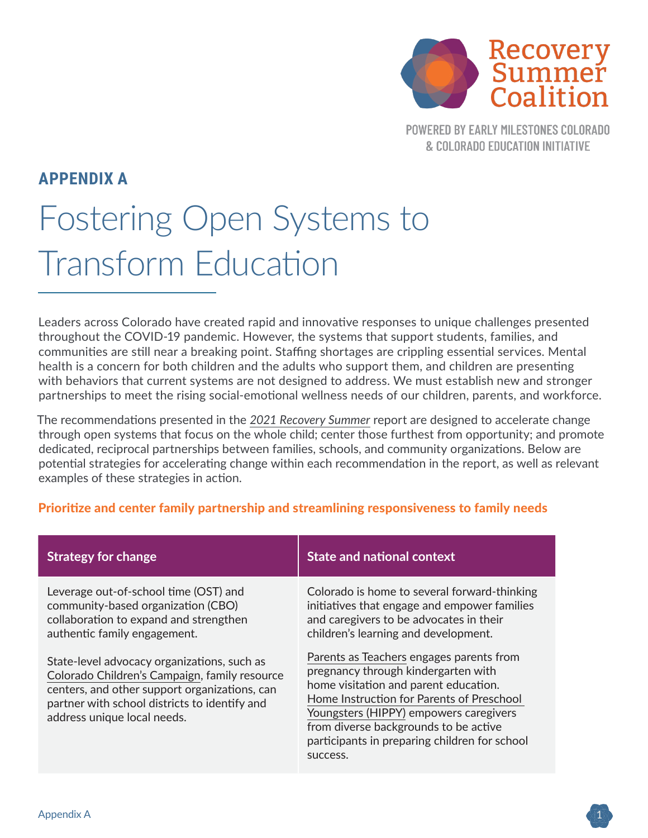

**POWERED BY EARLY MILESTONES COLORADO** & COLORADO EDUCATION INITIATIVE

## **APPENDIX A**

# Fostering Open Systems to Transform Education

Leaders across Colorado have created rapid and innovative responses to unique challenges presented throughout the COVID-19 pandemic. However, the systems that support students, families, and communities are still near a breaking point. Staffing shortages are crippling essential services. Mental health is a concern for both children and the adults who support them, and children are presenting with behaviors that current systems are not designed to address. We must establish new and stronger partnerships to meet the rising social-emotional wellness needs of our children, parents, and workforce.

The recommendations presented in the *[2021 Recovery Summer](https://earlymilestones.org/wp-content/uploads/2022/01/Recovery-Summer-Colorado-Report.pdf)* report are designed to accelerate change through open systems that focus on the whole child; center those furthest from opportunity; and promote dedicated, reciprocal partnerships between families, schools, and community organizations. Below are potential strategies for accelerating change within each recommendation in the report, as well as relevant examples of these strategies in action.

#### Prioritize and center family partnership and streamlining responsiveness to family needs

| <b>Strategy for change</b>                                                                                                                                                                                                    | <b>State and national context</b>                                                                                                                                                                                                                                         |
|-------------------------------------------------------------------------------------------------------------------------------------------------------------------------------------------------------------------------------|---------------------------------------------------------------------------------------------------------------------------------------------------------------------------------------------------------------------------------------------------------------------------|
| Leverage out-of-school time (OST) and<br>community-based organization (CBO)<br>collaboration to expand and strengthen<br>authentic family engagement.                                                                         | Colorado is home to several forward-thinking<br>initiatives that engage and empower families<br>and caregivers to be advocates in their<br>children's learning and development.<br>Parents as Teachers engages parents from                                               |
| State-level advocacy organizations, such as<br>Colorado Children's Campaign, family resource<br>centers, and other support organizations, can<br>partner with school districts to identify and<br>address unique local needs. | pregnancy through kindergarten with<br>home visitation and parent education.<br>Home Instruction for Parents of Preschool<br>Youngsters (HIPPY) empowers caregivers<br>from diverse backgrounds to be active<br>participants in preparing children for school<br>success. |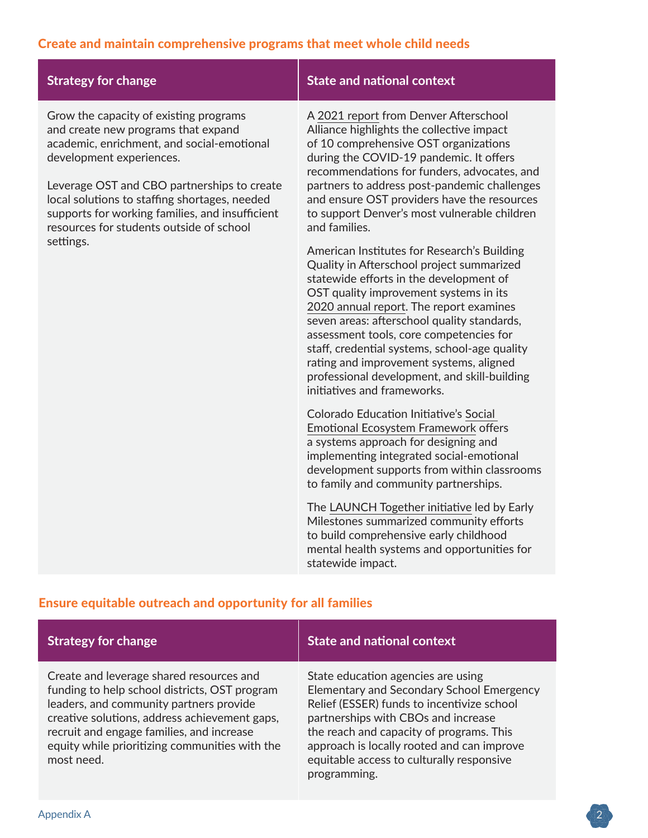# Create and maintain comprehensive programs that meet whole child needs

| <b>Strategy for change</b>                                                                                                                                                                                                                                                                                                                                          | <b>State and national context</b>                                                                                                                                                                                                                                                                                                                                                                                                                                                             |
|---------------------------------------------------------------------------------------------------------------------------------------------------------------------------------------------------------------------------------------------------------------------------------------------------------------------------------------------------------------------|-----------------------------------------------------------------------------------------------------------------------------------------------------------------------------------------------------------------------------------------------------------------------------------------------------------------------------------------------------------------------------------------------------------------------------------------------------------------------------------------------|
| Grow the capacity of existing programs<br>and create new programs that expand<br>academic, enrichment, and social-emotional<br>development experiences.<br>Leverage OST and CBO partnerships to create<br>local solutions to staffing shortages, needed<br>supports for working families, and insufficient<br>resources for students outside of school<br>settings. | A 2021 report from Denver Afterschool<br>Alliance highlights the collective impact<br>of 10 comprehensive OST organizations<br>during the COVID-19 pandemic. It offers<br>recommendations for funders, advocates, and<br>partners to address post-pandemic challenges<br>and ensure OST providers have the resources<br>to support Denver's most vulnerable children<br>and families.                                                                                                         |
|                                                                                                                                                                                                                                                                                                                                                                     | American Institutes for Research's Building<br>Quality in Afterschool project summarized<br>statewide efforts in the development of<br>OST quality improvement systems in its<br>2020 annual report. The report examines<br>seven areas: afterschool quality standards,<br>assessment tools, core competencies for<br>staff, credential systems, school-age quality<br>rating and improvement systems, aligned<br>professional development, and skill-building<br>initiatives and frameworks. |
|                                                                                                                                                                                                                                                                                                                                                                     | Colorado Education Initiative's Social<br><b>Emotional Ecosystem Framework offers</b><br>a systems approach for designing and<br>implementing integrated social-emotional<br>development supports from within classrooms<br>to family and community partnerships.                                                                                                                                                                                                                             |
|                                                                                                                                                                                                                                                                                                                                                                     | The LAUNCH Together initiative led by Early<br>Milestones summarized community efforts<br>to build comprehensive early childhood<br>mental health systems and opportunities for<br>statewide impact.                                                                                                                                                                                                                                                                                          |

# Ensure equitable outreach and opportunity for all families

| <b>Strategy for change</b>                                                                                                                                                                                                                                                                         | <b>State and national context</b>                                                                                                                                                                                                                                                                                           |
|----------------------------------------------------------------------------------------------------------------------------------------------------------------------------------------------------------------------------------------------------------------------------------------------------|-----------------------------------------------------------------------------------------------------------------------------------------------------------------------------------------------------------------------------------------------------------------------------------------------------------------------------|
| Create and leverage shared resources and<br>funding to help school districts, OST program<br>leaders, and community partners provide<br>creative solutions, address achievement gaps,<br>recruit and engage families, and increase<br>equity while prioritizing communities with the<br>most need. | State education agencies are using<br>Elementary and Secondary School Emergency<br>Relief (ESSER) funds to incentivize school<br>partnerships with CBOs and increase<br>the reach and capacity of programs. This<br>approach is locally rooted and can improve<br>equitable access to culturally responsive<br>programming. |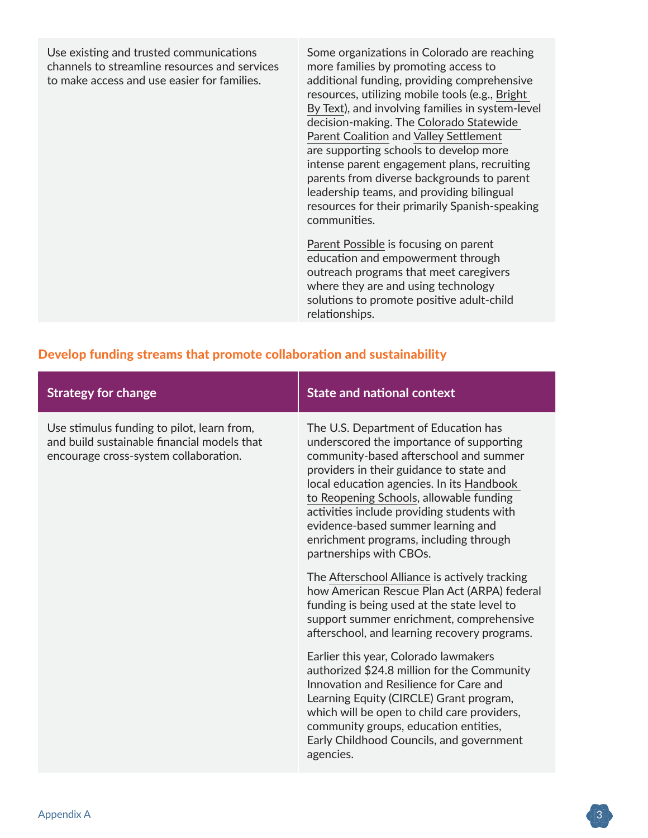Use existing and trusted communications channels to streamline resources and services to make access and use easier for families.

Some organizations in Colorado are reaching more families by promoting access to additional funding, providing comprehensive resources, utilizing mobile tools (e.g., [Bright](https://brightbytext.org/)  [By Text](https://brightbytext.org/)), and involving families in system-level decision-making. The [Colorado Statewide](https://coparentcoalition.org/)  [Parent Coalition](https://coparentcoalition.org/) and [Valley Settlement](https://valleysettlement.org/) are supporting schools to develop more intense parent engagement plans, recruiting parents from diverse backgrounds to parent leadership teams, and providing bilingual resources for their primarily Spanish-speaking communities.

[Parent Possible](https://www.parentpossible.org/) is focusing on parent education and empowerment through outreach programs that meet caregivers where they are and using technology solutions to promote positive adult-child relationships.

| <b>Strategy for change</b>                                                                                                         | <b>State and national context</b>                                                                                                                                                                                                                                                                                                                                                                                       |
|------------------------------------------------------------------------------------------------------------------------------------|-------------------------------------------------------------------------------------------------------------------------------------------------------------------------------------------------------------------------------------------------------------------------------------------------------------------------------------------------------------------------------------------------------------------------|
| Use stimulus funding to pilot, learn from,<br>and build sustainable financial models that<br>encourage cross-system collaboration. | The U.S. Department of Education has<br>underscored the importance of supporting<br>community-based afterschool and summer<br>providers in their guidance to state and<br>local education agencies. In its Handbook<br>to Reopening Schools, allowable funding<br>activities include providing students with<br>evidence-based summer learning and<br>enrichment programs, including through<br>partnerships with CBOs. |
|                                                                                                                                    | The Afterschool Alliance is actively tracking<br>how American Rescue Plan Act (ARPA) federal<br>funding is being used at the state level to<br>support summer enrichment, comprehensive<br>afterschool, and learning recovery programs.                                                                                                                                                                                 |
|                                                                                                                                    | Earlier this year, Colorado lawmakers<br>authorized \$24.8 million for the Community<br>Innovation and Resilience for Care and<br>Learning Equity (CIRCLE) Grant program,<br>which will be open to child care providers,<br>community groups, education entities,<br>Early Childhood Councils, and government<br>agencies.                                                                                              |

#### Develop funding streams that promote collaboration and sustainability